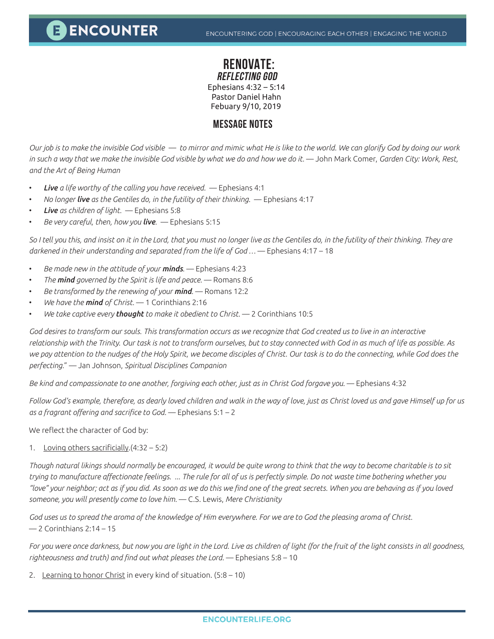## **E ENCOUNTER**

### **RENOVATE: REFLECTING GOD**

Ephesians 4:32 – 5:14 Pastor Daniel Hahn

Febuary 9/10, 2019

## **MESSAGE NOTES**

*Our job is to make the invisible God visible — to mirror and mimic what He is like to the world. We can glorify God by doing our work in such a way that we make the invisible God visible by what we do and how we do it.* ― John Mark Comer, *Garden City: Work, Rest, and the Art of Being Human*

- *Live a life worthy of the calling you have received.* Ephesians 4:1
- *No longer live as the Gentiles do, in the futility of their thinking.* Ephesians 4:17
- *Live as children of light.* Ephesians 5:8
- *Be very careful, then, how you live.* Ephesians 5:15

*So I tell you this, and insist on it in the Lord, that you must no longer live as the Gentiles do, in the futility of their thinking. They are darkened in their understanding and separated from the life of God …* — Ephesians 4:17 – 18

- *Be made new in the attitude of your minds.* Ephesians 4:23
- *The mind governed by the Spirit is life and peace.* Romans 8:6
- *Be transformed by the renewing of your mind.* Romans 12:2
- *We have the mind of Christ.* 1 Corinthians 2:16
- *We take captive every thought to make it obedient to Christ.* 2 Corinthians 10:5

God desires to transform our souls. This transformation occurs as we recognize that God created us to live in an interactive *relationship with the Trinity. Our task is not to transform ourselves, but to stay connected with God in as much of life as possible. As we pay attention to the nudges of the Holy Spirit, we become disciples of Christ. Our task is to do the connecting, while God does the perfecting.*" — Jan Johnson, *Spiritual Disciplines Companion*

*Be kind and compassionate to one another, forgiving each other, just as in Christ God forgave you.* — Ephesians 4:32

*Follow God's example, therefore, as dearly loved children and walk in the way of love, just as Christ loved us and gave Himself up for us as a fragrant offering and sacrifice to God.* — Ephesians 5:1 – 2

We reflect the character of God by:

1. Loving others sacrificially.(4:32 – 5:2)

*Though natural likings should normally be encouraged, it would be quite wrong to think that the way to become charitable is to sit trying to manufacture affectionate feelings. ... The rule for all of us is perfectly simple. Do not waste time bothering whether you "love" your neighbor; act as if you did. As soon as we do this we find one of the great secrets. When you are behaving as if you loved someone, you will presently come to love him.* — C.S. Lewis, *Mere Christianity*

*God uses us to spread the aroma of the knowledge of Him everywhere. For we are to God the pleasing aroma of Christ.*  $-2$  Corinthians 2:14 - 15

*For you were once darkness, but now you are light in the Lord. Live as children of light (for the fruit of the light consists in all goodness, righteousness and truth) and find out what pleases the Lord.* — Ephesians 5:8 – 10

2. Learning to honor Christ in every kind of situation. (5:8 – 10)

#### **ENCOUNTERLIFE.ORG**